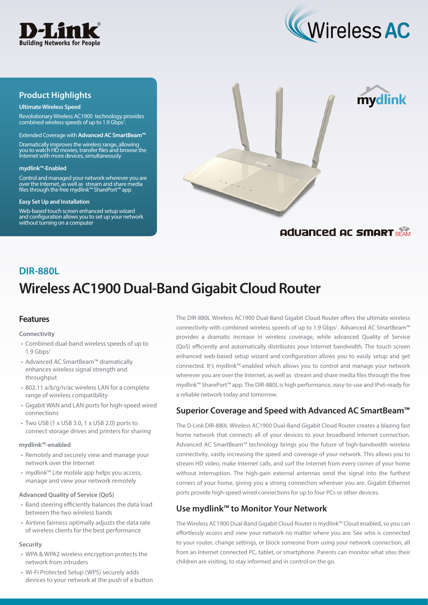



mydlink

## **Product Highlights**

#### **Ultimate Wireless Speed**

Revolutionary Wireless AC1900 technology provides combined wireless speeds of up to 1.9 Gbps<sup>1</sup>

#### Extended Coverage with **Advanced AC SmartBeam™**

Dramatically improves the wireless range, allowing you to watch HD movies, transfer files and browse the Internet with more devices, simultaneously

#### **mydlink™-Enabled**

Control and managed your network wherever you are over the Internet, as well as stream and share media files through the free mydlink™ SharePort™ app

#### **Easy Set Up and Installation**

Web-based touch screen enhanced setup wizard and configuration allows you to set up your network without turning on a computer



## **Aduanced AC SMART BEAM**

# **Wireless AC1900 Dual-Band Gigabit Cloud Router DIR-880L**

## **Features**

#### **Connectivity**

- Combined dual-band wireless speeds of up to  $1.9$  Ghps
- Advanced AC SmartBeam™ dramatically enhances wireless signal strength and throughput
- 802.11 a/b/g/n/ac wireless LAN for a complete range of wireless compatibility
- Gigabit WAN and LAN ports for high-speed wired connections
- Two USB (1 x USB 3.0, 1 x USB 2.0) ports to connect storage drives and printers for sharing

#### **mydlink™-enabled**

- Remotely and securely view and manage your network over the Internet
- mydlink™ Lite mobile app helps you access, manage and view your network remotely

#### **Advanced Quality of Service (QoS)**

- Band steering efficiently balances the data load between the two wireless bands
- Airtime fairness optimally adjusts the data rate of wireless clients for the best performance

#### **Security**

- WPA & WPA2 wireless encryption protects the network from intruders
- Wi-Fi Protected Setup (WPS) securely adds devices to your network at the push of a button

The DIR-880L Wireless AC1900 Dual-Band Gigabit Cloud Router offers the ultimate wireless connectivity with combined wireless speeds of up to 1.9 Gbps<sup>1</sup>. Advanced AC SmartBeam™ provides a dramatic increase in wireless coverage, while advanced Quality of Service (QoS) efficiently and automatically distributes your Internet bandwidth. The touch screen enhanced web-based setup wizard and configuration allows you to easily setup and get connected. It's mydlink™-enabled which allows you to control and manage your network wherever you are over the Internet, as well as stream and share media files through the free mydlink™ SharePort™ app. The DIR-880L is high performance, easy-to-use and IPv6-ready for a reliable network today and tomorrow.

## **Superior Coverage and Speed with Advanced AC SmartBeam™**

The D-Link DIR-880L Wireless AC1900 Dual-Band Gigabit Cloud Router creates a blazing fast home network that connects all of your devices to your broadband Internet connection. Advanced AC SmartBeam™ technology brings you the future of high-bandwidth wireless connectivity, vastly increasing the speed and coverage of your network. This allows you to stream HD video, make Internet calls, and surf the Internet from every corner of your home without interruption. The high-gain external antennas send the signal into the furthest corners of your home, giving you a strong connection wherever you are. Gigabit Ethernet ports provide high-speed wired connections for up to four PCs or other devices.

## **Use mydlink™ to Monitor Your Network**

The Wireless AC1900 Dual-Band Gigabit Cloud Router is mydlink™ Cloud enabled, so you can effortlessly access and view your network no matter where you are. See who is connected to your router, change settings, or block someone from using your network connection, all from an Internet connected PC, tablet, or smartphone. Parents can monitor what sites their children are visiting, to stay informed and in control on the go.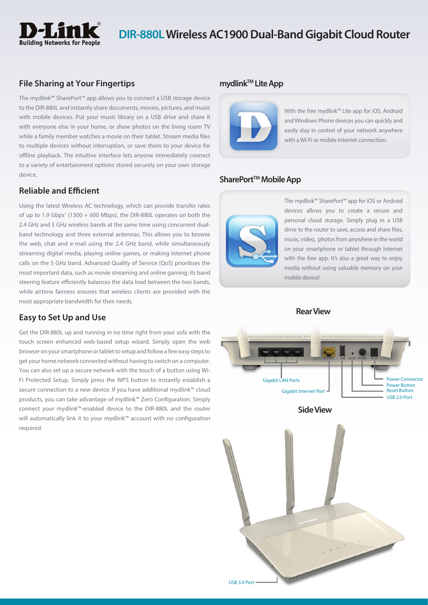

## **DIR-880L Wireless AC1900 Dual-Band Gigabit Cloud Router**

## **File Sharing at Your Fingertips**

The mydlink™ SharePort™ app allows you to connect a USB storage device to the DIR-880L and instantly share documents, movies, pictures, and music with mobile devices. Put your music library on a USB drive and share it with everyone else in your home, or show photos on the living room TV while a family member watches a movie on their tablet. Stream media files to multiple devices without interruption, or save them to your device for offline playback. The intuitive interface lets anyone immediately connect to a variety of entertainment options stored securely on your own storage device.

## **Reliable and Efficient**

Using the latest Wireless AC technology, which can provide transfer rates of up to 1.9 Gbps<sup>1</sup> (1300  $+$  600 Mbps), the DIR-880L operates on both the 2.4 GHz and 5 GHz wireless bands at the same time using concurrent dualband technology and three external antennas. This allows you to browse the web, chat and e-mail using the 2.4 GHz band, while simultaneously streaming digital media, playing online games, or making Internet phone calls on the 5 GHz band. Advanced Quality of Service (QoS) prioritises the most important data, such as movie streaming and online gaming; its band steering feature efficiently balances the data load between the two bands, while airtime fairness ensures that wireless clients are provided with the most appropriate bandwidth for their needs.

## **Easy to Set Up and Use**

Get the DIR-880L up and running in no time right from your sofa with the touch screen enhanced web-based setup wizard. Simply open the web browser on your smartphone or tablet to setup and follow a few easy steps to get your home network connected without having to switch on a computer. You can also set up a secure network with the touch of a button using Wi-Fi Protected Setup. Simply press the WPS button to instantly establish a secure connection to a new device. If you have additional mydlink™ cloud products, you can take advantage of mydlink™ Zero Configuration. Simply connect your mydlink™-enabled device to the DIR-880L and the router will automatically link it to your mydlink™ account with no configuration required.

### **mydlink™ Lite App**



With the free mydlink™ Lite app for iOS, Android and Windows Phone devices you can quickly and easily stay in control of your network anywhere with a Wi-Fi or mobile Internet connection.

### SharePort<sup>™</sup> Mobile App



The mydlink™ SharePort™ app for iOS or Android devices allows you to create a secure and personal cloud storage. Simply plug in a USB drive to the router to save, access and share files, music, video, photos from anywhere in the world on your smartphone or tablet through Internet with the free app. It's also a great way to enjoy media without using valuable memory on your mobile device!

**Rear View**